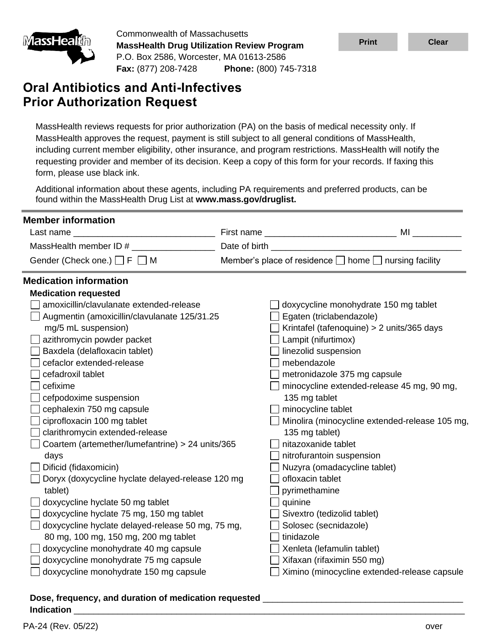

Commonwealth of Massachusetts **MassHealth Drug Utilization Review Program** P.O. Box 2586, Worcester, MA 01613-2586 **Fax:** (877) 208-7428 **Phone:** (800) 745-7318

# **Oral Antibiotics and Anti-Infectives Prior Authorization Request**

| <u>MassHealun</u><br><b>MassHealth Drug Utilization Review Program</b><br>P.O. Box 2586, Worcester, MA 01613-2586                                                                                                                                                                                                                                                                        |                                                                                                                                                                                                                                                                                                                                                                                                                                                                        |                                                                                                                                                                                                                                                                                                                                                                                                                                       | <b>Print</b>                                                                                                                                                                                      | <b>Clear</b>                                                                                   |  |  |  |  |
|------------------------------------------------------------------------------------------------------------------------------------------------------------------------------------------------------------------------------------------------------------------------------------------------------------------------------------------------------------------------------------------|------------------------------------------------------------------------------------------------------------------------------------------------------------------------------------------------------------------------------------------------------------------------------------------------------------------------------------------------------------------------------------------------------------------------------------------------------------------------|---------------------------------------------------------------------------------------------------------------------------------------------------------------------------------------------------------------------------------------------------------------------------------------------------------------------------------------------------------------------------------------------------------------------------------------|---------------------------------------------------------------------------------------------------------------------------------------------------------------------------------------------------|------------------------------------------------------------------------------------------------|--|--|--|--|
|                                                                                                                                                                                                                                                                                                                                                                                          | Fax: (877) 208-7428 Phone: (800) 745-7318                                                                                                                                                                                                                                                                                                                                                                                                                              |                                                                                                                                                                                                                                                                                                                                                                                                                                       |                                                                                                                                                                                                   |                                                                                                |  |  |  |  |
| <b>Oral Antibiotics and Anti-Infectives</b>                                                                                                                                                                                                                                                                                                                                              |                                                                                                                                                                                                                                                                                                                                                                                                                                                                        |                                                                                                                                                                                                                                                                                                                                                                                                                                       |                                                                                                                                                                                                   |                                                                                                |  |  |  |  |
| <b>Prior Authorization Request</b>                                                                                                                                                                                                                                                                                                                                                       |                                                                                                                                                                                                                                                                                                                                                                                                                                                                        |                                                                                                                                                                                                                                                                                                                                                                                                                                       |                                                                                                                                                                                                   |                                                                                                |  |  |  |  |
| form, please use black ink.                                                                                                                                                                                                                                                                                                                                                              |                                                                                                                                                                                                                                                                                                                                                                                                                                                                        | MassHealth reviews requests for prior authorization (PA) on the basis of medical necessity only. If<br>MassHealth approves the request, payment is still subject to all general conditions of MassHealth,<br>including current member eligibility, other insurance, and program restrictions. MassHealth will notify the<br>requesting provider and member of its decision. Keep a copy of this form for your records. If faxing this |                                                                                                                                                                                                   |                                                                                                |  |  |  |  |
|                                                                                                                                                                                                                                                                                                                                                                                          | found within the MassHealth Drug List at www.mass.gov/druglist.                                                                                                                                                                                                                                                                                                                                                                                                        | Additional information about these agents, including PA requirements and preferred products, can be                                                                                                                                                                                                                                                                                                                                   |                                                                                                                                                                                                   |                                                                                                |  |  |  |  |
| <b>Member information</b>                                                                                                                                                                                                                                                                                                                                                                |                                                                                                                                                                                                                                                                                                                                                                                                                                                                        |                                                                                                                                                                                                                                                                                                                                                                                                                                       |                                                                                                                                                                                                   |                                                                                                |  |  |  |  |
|                                                                                                                                                                                                                                                                                                                                                                                          |                                                                                                                                                                                                                                                                                                                                                                                                                                                                        |                                                                                                                                                                                                                                                                                                                                                                                                                                       |                                                                                                                                                                                                   |                                                                                                |  |  |  |  |
|                                                                                                                                                                                                                                                                                                                                                                                          |                                                                                                                                                                                                                                                                                                                                                                                                                                                                        |                                                                                                                                                                                                                                                                                                                                                                                                                                       |                                                                                                                                                                                                   |                                                                                                |  |  |  |  |
|                                                                                                                                                                                                                                                                                                                                                                                          | Gender (Check one.) $\Box$ F $\Box$ M                                                                                                                                                                                                                                                                                                                                                                                                                                  | Member's place of residence □ home □ nursing facility                                                                                                                                                                                                                                                                                                                                                                                 |                                                                                                                                                                                                   |                                                                                                |  |  |  |  |
| <b>Medication requested</b><br>mg/5 mL suspension)<br>azithromycin powder packet<br>Baxdela (delafloxacin tablet)<br>cefaclor extended-release<br>cefadroxil tablet<br>cefixime<br>cefpodoxime suspension<br>cephalexin 750 mg capsule<br>ciprofloxacin 100 mg tablet<br>clarithromycin extended-release<br>days<br>Dificid (fidaxomicin)<br>tablet)<br>doxycycline hyclate 50 mg tablet | amoxicillin/clavulanate extended-release<br>Augmentin (amoxicillin/clavulanate 125/31.25<br>Coartem (artemether/lumefantrine) > 24 units/365<br>Doryx (doxycycline hyclate delayed-release 120 mg<br>doxycycline hyclate 75 mg, 150 mg tablet<br>doxycycline hyclate delayed-release 50 mg, 75 mg,<br>80 mg, 100 mg, 150 mg, 200 mg tablet<br>doxycycline monohydrate 40 mg capsule<br>doxycycline monohydrate 75 mg capsule<br>doxycycline monohydrate 150 mg capsule | Egaten (triclabendazole)<br>$\Box$ Lampit (nifurtimox)<br>linezolid suspension<br>mebendazole<br>135 mg tablet<br>minocycline tablet<br>135 mg tablet)<br>nitazoxanide tablet<br>nitrofurantoin suspension<br>ofloxacin tablet<br>pyrimethamine<br>quinine<br>Sivextro (tedizolid tablet)<br>Solosec (secnidazole)<br>tinidazole<br>Xenleta (lefamulin tablet)<br>Xifaxan (rifaximin 550 mg)                                          | doxycycline monohydrate 150 mg tablet<br>Krintafel (tafenoquine) > 2 units/365 days<br>metronidazole 375 mg capsule<br>minocycline extended-release 45 mg, 90 mg,<br>Nuzyra (omadacycline tablet) | Minolira (minocycline extended-release 105 mg,<br>Ximino (minocycline extended-release capsule |  |  |  |  |
| Indication                                                                                                                                                                                                                                                                                                                                                                               |                                                                                                                                                                                                                                                                                                                                                                                                                                                                        |                                                                                                                                                                                                                                                                                                                                                                                                                                       |                                                                                                                                                                                                   |                                                                                                |  |  |  |  |
| PA-24 (Rev. 05/22)                                                                                                                                                                                                                                                                                                                                                                       |                                                                                                                                                                                                                                                                                                                                                                                                                                                                        |                                                                                                                                                                                                                                                                                                                                                                                                                                       |                                                                                                                                                                                                   | over                                                                                           |  |  |  |  |

#### **Dose, frequency, and duration of medication requested** \_\_\_\_\_\_\_\_\_\_\_\_\_\_\_\_\_\_\_\_\_\_\_\_\_\_\_\_\_\_\_\_\_\_\_\_\_\_\_\_\_ **Indication** \_\_\_\_\_\_\_\_\_\_\_\_\_\_\_\_\_\_\_\_\_\_\_\_\_\_\_\_\_\_\_\_\_\_\_\_\_\_\_\_\_\_\_\_\_\_\_\_\_\_\_\_\_\_\_\_\_\_\_\_\_\_\_\_\_\_\_\_\_\_\_\_\_\_\_\_\_\_\_\_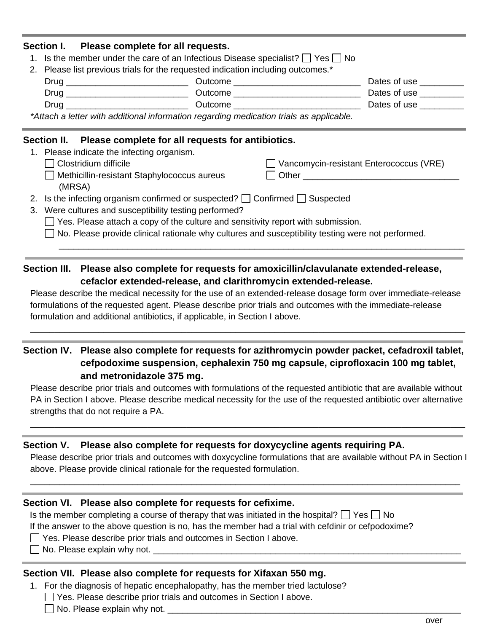| Please complete for all requests.<br>Section I.                                                             |  |                                         |                           |
|-------------------------------------------------------------------------------------------------------------|--|-----------------------------------------|---------------------------|
| 1. Is the member under the care of an Infectious Disease specialist? $\Box$ Yes $\Box$ No                   |  |                                         |                           |
| 2. Please list previous trials for the requested indication including outcomes.*                            |  |                                         |                           |
|                                                                                                             |  |                                         | Dates of use __________   |
|                                                                                                             |  |                                         | Dates of use <b>Dates</b> |
|                                                                                                             |  |                                         | Dates of use <b>Dates</b> |
| *Attach a letter with additional information regarding medication trials as applicable.                     |  |                                         |                           |
| Section II. Please complete for all requests for antibiotics.<br>1. Please indicate the infecting organism. |  |                                         |                           |
|                                                                                                             |  |                                         |                           |
| Clostridium difficile                                                                                       |  | Vancomycin-resistant Enterococcus (VRE) |                           |
| Methicillin-resistant Staphylococcus aureus<br>(MRSA)                                                       |  |                                         |                           |
| 2. Is the infecting organism confirmed or suspected? $\Box$ Confirmed $\Box$ Suspected                      |  |                                         |                           |

- 3. Were cultures and susceptibility testing performed?
	- $\Box$  Yes. Please attach a copy of the culture and sensitivity report with submission.
	- $\Box$  No. Please provide clinical rationale why cultures and susceptibility testing were not performed.

\_\_\_\_\_\_\_\_\_\_\_\_\_\_\_\_\_\_\_\_\_\_\_\_\_\_\_\_\_\_\_\_\_\_\_\_\_\_\_\_\_\_\_\_\_\_\_\_\_\_\_\_\_\_\_\_\_\_\_\_\_\_\_\_\_\_\_\_\_\_\_\_\_\_\_\_\_\_\_\_\_\_\_

## **Section III. Please also complete for requests for amoxicillin/clavulanate extended-release, cefaclor extended-release, and clarithromycin extended-release.**

Please describe the medical necessity for the use of an extended-release dosage form over immediate-release formulations of the requested agent. Please describe prior trials and outcomes with the immediate-release formulation and additional antibiotics, if applicable, in Section I above.

\_\_\_\_\_\_\_\_\_\_\_\_\_\_\_\_\_\_\_\_\_\_\_\_\_\_\_\_\_\_\_\_\_\_\_\_\_\_\_\_\_\_\_\_\_\_\_\_\_\_\_\_\_\_\_\_\_\_\_\_\_\_\_\_\_\_\_\_\_\_\_\_\_\_\_\_\_\_\_\_\_\_\_\_\_\_\_\_\_

## **Section IV. Please also complete for requests for azithromycin powder packet, cefadroxil tablet, cefpodoxime suspension, cephalexin 750 mg capsule, ciprofloxacin 100 mg tablet, and metronidazole 375 mg.**

Please describe prior trials and outcomes with formulations of the requested antibiotic that are available without PA in Section I above. Please describe medical necessity for the use of the requested antibiotic over alternative strengths that do not require a PA.

\_\_\_\_\_\_\_\_\_\_\_\_\_\_\_\_\_\_\_\_\_\_\_\_\_\_\_\_\_\_\_\_\_\_\_\_\_\_\_\_\_\_\_\_\_\_\_\_\_\_\_\_\_\_\_\_\_\_\_\_\_\_\_\_\_\_\_\_\_\_\_\_\_\_\_\_\_\_\_\_\_\_\_\_\_\_\_\_\_

## **Section V. Please also complete for requests for doxycycline agents requiring PA.**

Please describe prior trials and outcomes with doxycycline formulations that are available without PA in Section I above. Please provide clinical rationale for the requested formulation.

\_\_\_\_\_\_\_\_\_\_\_\_\_\_\_\_\_\_\_\_\_\_\_\_\_\_\_\_\_\_\_\_\_\_\_\_\_\_\_\_\_\_\_\_\_\_\_\_\_\_\_\_\_\_\_\_\_\_\_\_\_\_\_\_\_\_\_\_\_\_\_\_\_\_\_\_\_\_\_\_\_\_\_\_\_\_\_\_

## **Section VI. Please also complete for requests for cefixime.**

Is the member completing a course of therapy that was initiated in the hospital?  $\Box$  Yes  $\Box$  No If the answer to the above question is no, has the member had a trial with cefdinir or cefpodoxime?

- □ Yes. Please describe prior trials and outcomes in Section I above.
- $\Box$  No. Please explain why not.

## **Section VII. Please also complete for requests for Xifaxan 550 mg.**

- 1. For the diagnosis of hepatic encephalopathy, has the member tried lactulose?
	- □ Yes. Please describe prior trials and outcomes in Section I above.

 $\Box$  No. Please explain why not.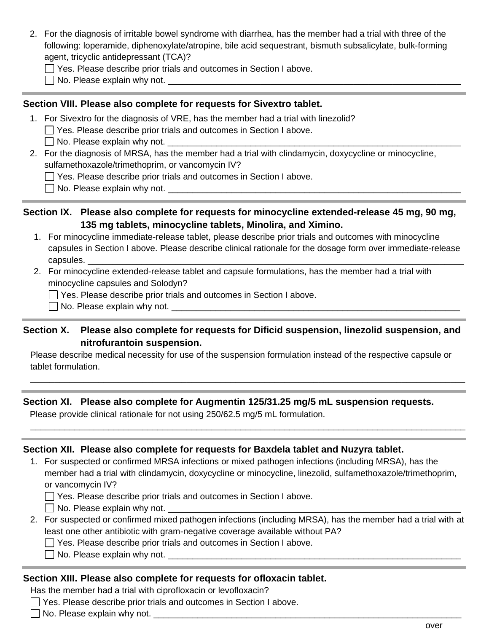- 2. For the diagnosis of irritable bowel syndrome with diarrhea, has the member had a trial with three of the following: loperamide, diphenoxylate/atropine, bile acid sequestrant, bismuth subsalicylate, bulk-forming agent, tricyclic antidepressant (TCA)?
	- Yes. Please describe prior trials and outcomes in Section I above.
	- $\Box$  No. Please explain why not.

#### **Section VIII. Please also complete for requests for Sivextro tablet.**

- 1. For Sivextro for the diagnosis of VRE, has the member had a trial with linezolid?
	- Yes. Please describe prior trials and outcomes in Section I above.
	- $\Box$  No. Please explain why not.
- 2. For the diagnosis of MRSA, has the member had a trial with clindamycin, doxycycline or minocycline, sulfamethoxazole/trimethoprim, or vancomycin IV?
	- $\Box$  Yes. Please describe prior trials and outcomes in Section I above.
	- No. Please explain why not. \_\_\_\_\_\_\_\_\_\_\_\_\_\_\_\_\_\_\_\_\_\_\_\_\_\_\_\_\_\_\_\_\_\_\_\_\_\_\_\_\_\_\_\_\_\_\_\_\_\_\_\_\_\_\_\_\_\_\_\_

### **Section IX. Please also complete for requests for minocycline extended-release 45 mg, 90 mg, 135 mg tablets, minocycline tablets, Minolira, and Ximino.**

- 1. For minocycline immediate-release tablet, please describe prior trials and outcomes with minocycline capsules in Section I above. Please describe clinical rationale for the dosage form over immediate-release capsules.
- 2. For minocycline extended-release tablet and capsule formulations, has the member had a trial with minocycline capsules and Solodyn?

Yes. Please describe prior trials and outcomes in Section I above.

No. Please explain why not. \_\_\_\_\_\_\_\_\_\_\_\_\_\_\_\_\_\_\_\_\_\_\_\_\_\_\_\_\_\_\_\_\_\_\_\_\_\_\_\_\_\_\_\_\_\_\_\_\_\_\_\_\_\_\_\_\_\_\_

#### **Section X. Please also complete for requests for Dificid suspension, linezolid suspension, and nitrofurantoin suspension.**

Please describe medical necessity for use of the suspension formulation instead of the respective capsule or tablet formulation.

\_\_\_\_\_\_\_\_\_\_\_\_\_\_\_\_\_\_\_\_\_\_\_\_\_\_\_\_\_\_\_\_\_\_\_\_\_\_\_\_\_\_\_\_\_\_\_\_\_\_\_\_\_\_\_\_\_\_\_\_\_\_\_\_\_\_\_\_\_\_\_\_\_\_\_\_\_\_\_\_\_\_\_\_\_\_\_\_\_

\_\_\_\_\_\_\_\_\_\_\_\_\_\_\_\_\_\_\_\_\_\_\_\_\_\_\_\_\_\_\_\_\_\_\_\_\_\_\_\_\_\_\_\_\_\_\_\_\_\_\_\_\_\_\_\_\_\_\_\_\_\_\_\_\_\_\_\_\_\_\_\_\_\_\_\_\_\_\_\_\_\_\_\_\_\_\_\_\_

#### **Section XI. Please also complete for Augmentin 125/31.25 mg/5 mL suspension requests.**

Please provide clinical rationale for not using 250/62.5 mg/5 mL formulation.

#### **Section XII. Please also complete for requests for Baxdela tablet and Nuzyra tablet.**

1. For suspected or confirmed MRSA infections or mixed pathogen infections (including MRSA), has the member had a trial with clindamycin, doxycycline or minocycline, linezolid, sulfamethoxazole/trimethoprim, or vancomycin IV?

**T** Yes. Please describe prior trials and outcomes in Section I above.

 $\Box$  No. Please explain why not.

- 2. For suspected or confirmed mixed pathogen infections (including MRSA), has the member had a trial with at least one other antibiotic with gram-negative coverage available without PA?
	- $\Box$  Yes. Please describe prior trials and outcomes in Section I above.
	- No. Please explain why not.

#### **Section XIII. Please also complete for requests for ofloxacin tablet.**

Has the member had a trial with ciprofloxacin or levofloxacin?

- Yes. Please describe prior trials and outcomes in Section I above.
- No. Please explain why not. \_\_\_\_\_\_\_\_\_\_\_\_\_\_\_\_\_\_\_\_\_\_\_\_\_\_\_\_\_\_\_\_\_\_\_\_\_\_\_\_\_\_\_\_\_\_\_\_\_\_\_\_\_\_\_\_\_\_\_\_\_\_\_